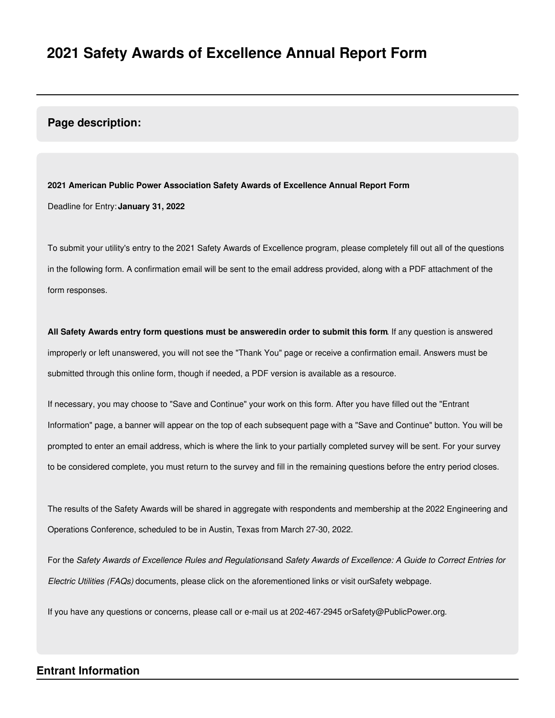#### **Page description:**

**2021 American Public Power Association Safety Awards of Excellence Annual Report Form** Deadline for Entry: **January 31, 2022**

To submit your utility's entry to the 2021 Safety Awards of Excellence program, please completely fill out all of the questions in the following form. A confirmation email will be sent to the email address provided, along with a PDF attachment of the form responses.

**All Safety Awards entry form questions must be answeredin order to submit this form**. If any question is answered improperly or left unanswered, you will not see the "Thank You" page or receive a confirmation email. Answers must be submitted through this online form, though if needed, a PDF version is available as a resource.

If necessary, you may choose to "Save and Continue" your work on this form. After you have filled out the "Entrant Information" page, a banner will appear on the top of each subsequent page with a "Save and Continue" button. You will be prompted to enter an email address, which is where the link to your partially completed survey will be sent. For your survey to be considered complete, you must return to the survey and fill in the remaining questions before the entry period closes.

The results of the Safety Awards will be shared in aggregate with respondents and membership at the 2022 Engineering and Operations Conference, scheduled to be in Austin, Texas from March 27-30, 2022.

For the Safety Awards of Excellence Rules and Regulationsand Safety Awards of Excellence: A Guide to Correct Entries for *Electric Utilities (FAQs)* documents, please click on the aforementioned links or visit ourSafety webpage.

If you have any questions or concerns, please call or e-mail us at 202-467-2945 orSafety@PublicPower.org.

#### **Entrant Information**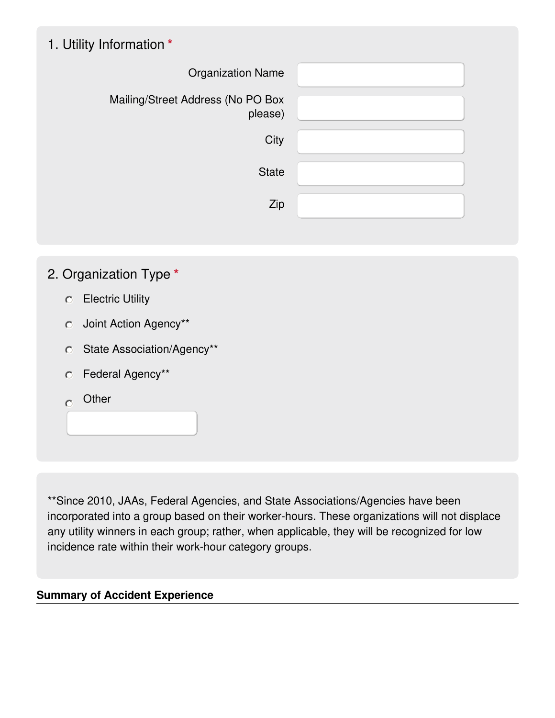# 1. Utility Information **\***

| <b>Organization Name</b>                     |  |
|----------------------------------------------|--|
| Mailing/Street Address (No PO Box<br>please) |  |
| City                                         |  |
| <b>State</b>                                 |  |
| Zip                                          |  |
|                                              |  |

### 2. Organization Type **\***

- Electric Utility
- Joint Action Agency\*\*
- State Association/Agency\*\*
- Federal Agency\*\*
- $\overline{O}$  Other

\*\*Since 2010, JAAs, Federal Agencies, and State Associations/Agencies have been incorporated into a group based on their worker-hours. These organizations will not displace any utility winners in each group; rather, when applicable, they will be recognized for low incidence rate within their work-hour category groups.

### **Summary of Accident Experience**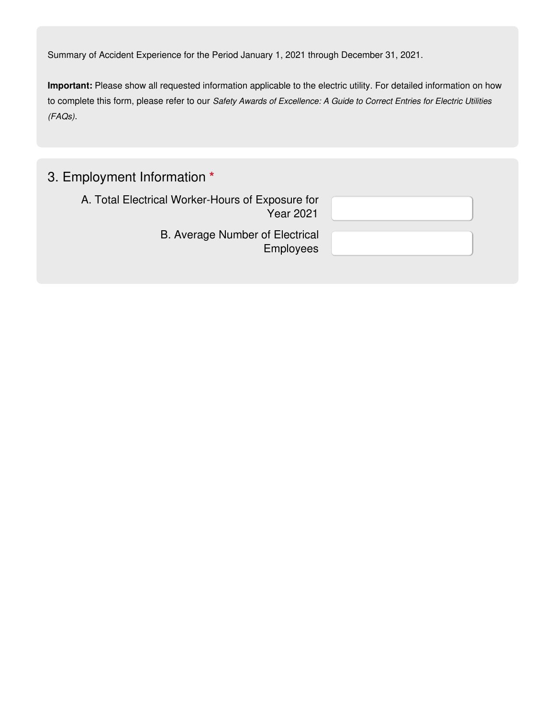Summary of Accident Experience for the Period January 1, 2021 through December 31, 2021.

**Important:** Please show all requested information applicable to the electric utility. For detailed information on how to complete this form, please refer to our *Safety Awards of Excellence: A Guide to Correct Entries for Electric Utilities (FAQs)*.

## 3. Employment Information **\***

A. Total Electrical Worker-Hours of Exposure for Year 2021

> B. Average Number of Electrical Employees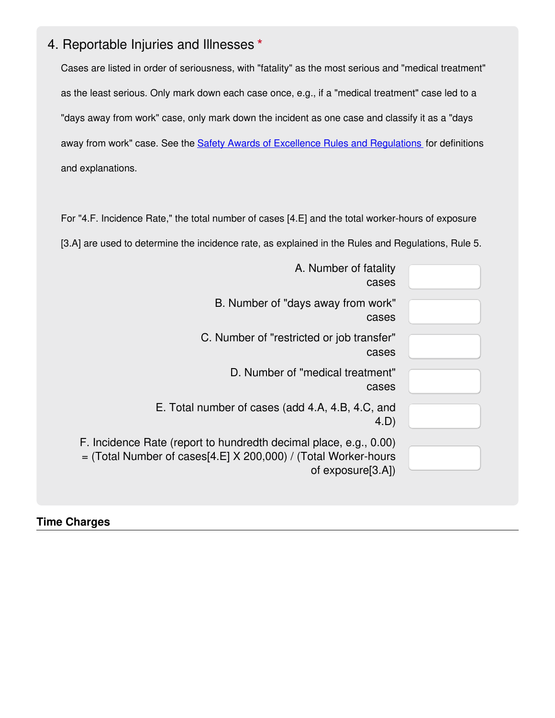### 4. Reportable Injuries and Illnesses **\***

Cases are listed in order of seriousness, with "fatality" as the most serious and "medical treatment" as the least serious. Only mark down each case once, e.g., if a "medical treatment" case led to a "days away from work" case, only mark down the incident as one case and classify it as a "days away from work" case. See the **Safety Awards of Excellence Rules and [Regulations](https://www.publicpower.org/system/files/documents/2021 APPA Safety Awards of Excellence Rules and Regulations.pdf)** for definitions and explanations.

For "4.F. Incidence Rate," the total number of cases [4.E] and the total worker-hours of exposure [3.A] are used to determine the incidence rate, as explained in the Rules and Regulations, Rule 5.

| A. Number of fatality<br>cases                                                                                                                             |  |
|------------------------------------------------------------------------------------------------------------------------------------------------------------|--|
| B. Number of "days away from work"<br>cases                                                                                                                |  |
| C. Number of "restricted or job transfer"<br>cases                                                                                                         |  |
| D. Number of "medical treatment"<br>cases                                                                                                                  |  |
| E. Total number of cases (add 4.A, 4.B, 4.C, and<br>4.D                                                                                                    |  |
| F. Incidence Rate (report to hundredth decimal place, e.g., 0.00)<br>$=$ (Total Number of cases[4.E] X 200,000) / (Total Worker-hours<br>of exposure[3.A]) |  |

#### **Time Charges**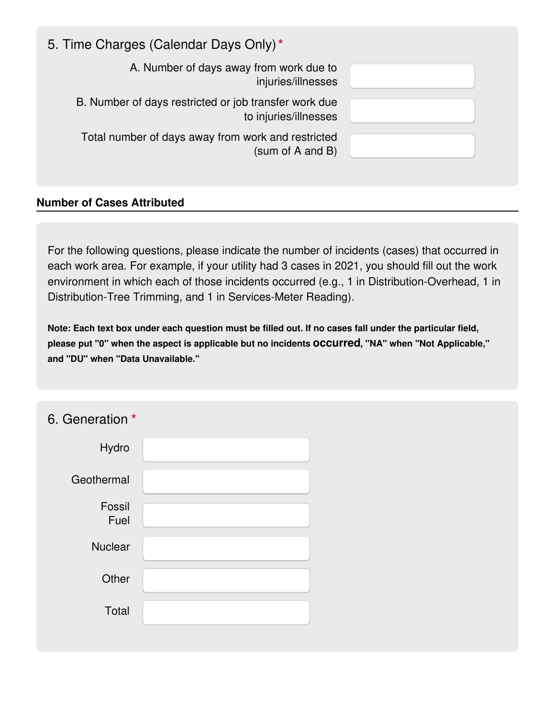| 5. Time Charges (Calendar Days Only)*                                          |  |
|--------------------------------------------------------------------------------|--|
| A. Number of days away from work due to<br>injuries/illnesses                  |  |
| B. Number of days restricted or job transfer work due<br>to injuries/illnesses |  |
| Total number of days away from work and restricted<br>(sum of A and B)         |  |
|                                                                                |  |

### **Number of Cases Attributed**

For the following questions, please indicate the number of incidents (cases) that occurred in each work area. For example, if your utility had 3 cases in 2021, you should fill out the work environment in which each of those incidents occurred (e.g., 1 in Distribution-Overhead, 1 in Distribution-Tree Trimming, and 1 in Services-Meter Reading).

Note: Each text box under each question must be filled out. If no cases fall under the particular field, **please put "0" when the aspect is applicable but no incidents occurred, "NA" when "Not Applicable," and "DU" when "Data Unavailable."**

| 6. Generation * |  |
|-----------------|--|
| Hydro           |  |
| Geothermal      |  |
| Fossil<br>Fuel  |  |
| Nuclear         |  |
| Other           |  |
| Total           |  |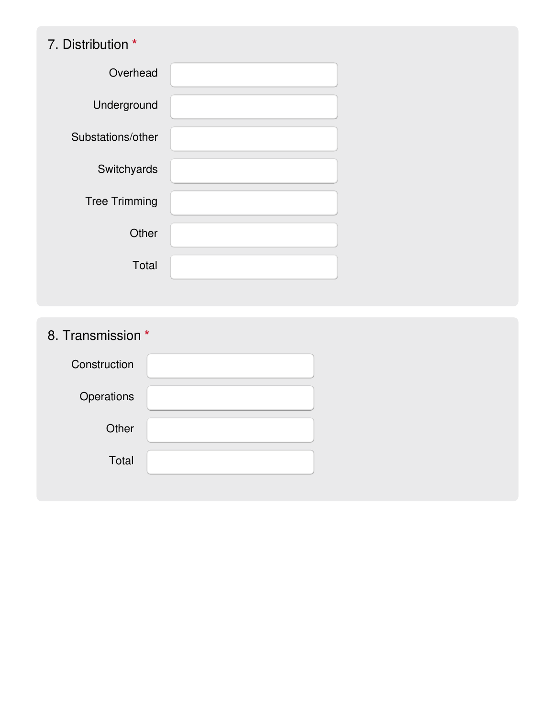# 7. Distribution **\***

| Overhead             |  |
|----------------------|--|
| Underground          |  |
| Substations/other    |  |
| Switchyards          |  |
| <b>Tree Trimming</b> |  |
| Other                |  |
| Total                |  |
|                      |  |

8. Transmission **\***

| Construction |  |
|--------------|--|
| Operations   |  |
| Other        |  |
| Total        |  |
|              |  |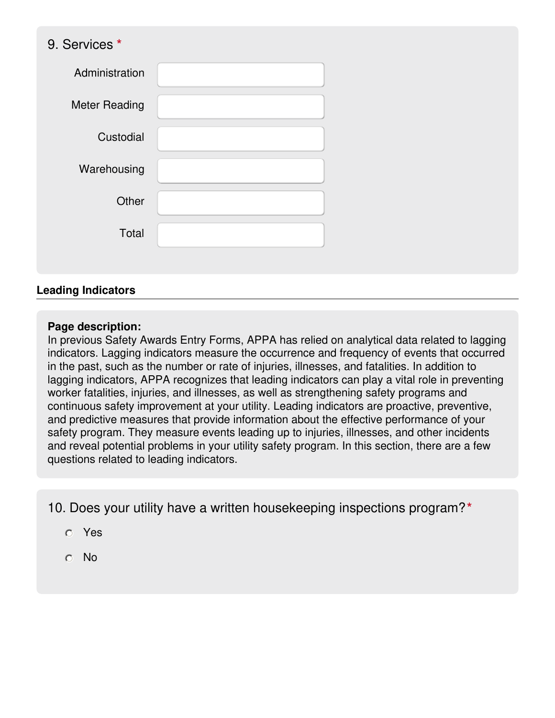### 9. Services **\***

| Administration       |  |
|----------------------|--|
| <b>Meter Reading</b> |  |
| Custodial            |  |
| Warehousing          |  |
| Other                |  |
| Total                |  |
|                      |  |

#### **Leading Indicators**

#### **Page description:**

In previous Safety Awards Entry Forms, APPA has relied on analytical data related to lagging indicators. Lagging indicators measure the occurrence and frequency of events that occurred in the past, such as the number or rate of injuries, illnesses, and fatalities. In addition to lagging indicators, APPA recognizes that leading indicators can play a vital role in preventing worker fatalities, injuries, and illnesses, as well as strengthening safety programs and continuous safety improvement at your utility. Leading indicators are proactive, preventive, and predictive measures that provide information about the effective performance of your safety program. They measure events leading up to injuries, illnesses, and other incidents and reveal potential problems in your utility safety program. In this section, there are a few questions related to leading indicators.

10. Does your utility have a written housekeeping inspections program?**\***

- Yes
- No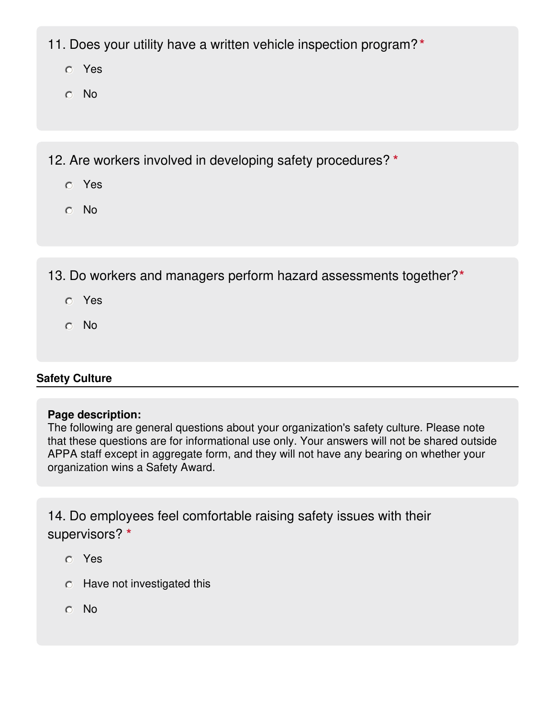11. Does your utility have a written vehicle inspection program?**\***

- Yes
- No

12. Are workers involved in developing safety procedures? **\***

- Yes
- No

13. Do workers and managers perform hazard assessments together?**\***

- Yes
- No

### **Safety Culture**

### **Page description:**

The following are general questions about your organization's safety culture. Please note that these questions are for informational use only. Your answers will not be shared outside APPA staff except in aggregate form, and they will not have any bearing on whether your organization wins a Safety Award.

14. Do employees feel comfortable raising safety issues with their supervisors? **\***

- Yes
- $\circ$  Have not investigated this
- No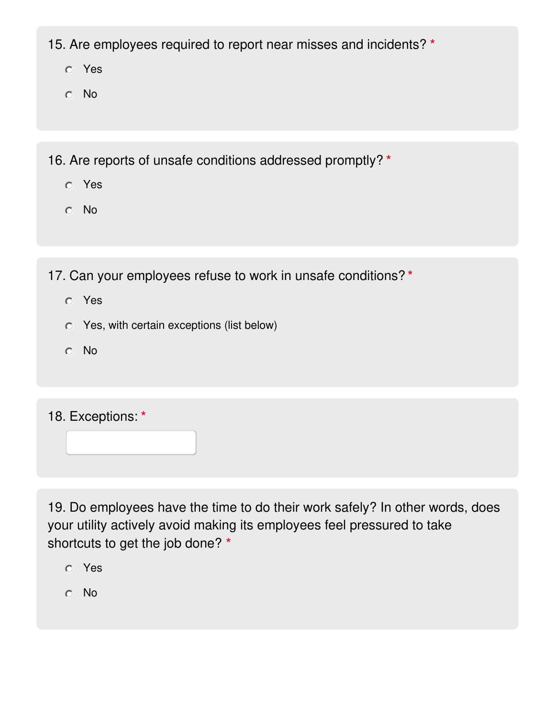15. Are employees required to report near misses and incidents? **\***

- Yes
- No

16. Are reports of unsafe conditions addressed promptly? **\***

- Yes
- No

17. Can your employees refuse to work in unsafe conditions? **\***

- Yes
- Yes, with certain exceptions (list below)
- No

18. Exceptions: **\***

19. Do employees have the time to do their work safely? In other words, does your utility actively avoid making its employees feel pressured to take shortcuts to get the job done? **\***

- Yes
- No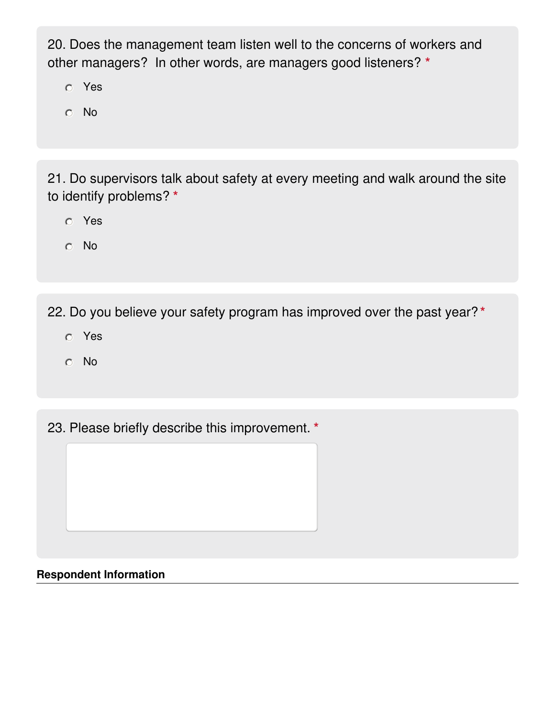20. Does the management team listen well to the concerns of workers and other managers? In other words, are managers good listeners? **\***

- Yes
- No

21. Do supervisors talk about safety at every meeting and walk around the site to identify problems? **\***

- Yes
- No

22. Do you believe your safety program has improved over the past year? **\***

- Yes
- No

23. Please briefly describe this improvement. **\***

### **Respondent Information**